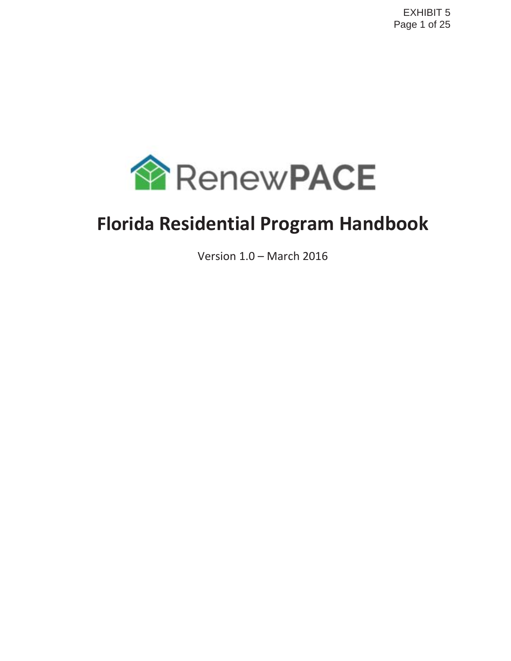

# **Florida Residential Program Handbook**

Version 1.0 – March 2016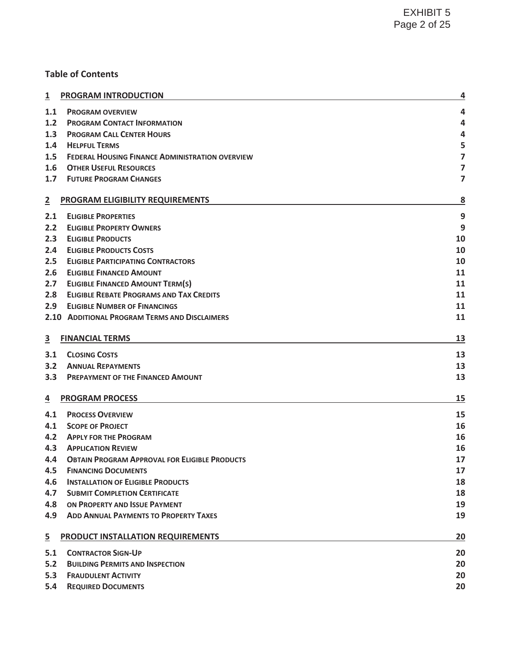## **Table of Contents**

| $\overline{\mathbf{1}}$ | <b>PROGRAM INTRODUCTION</b>                            | 4                       |
|-------------------------|--------------------------------------------------------|-------------------------|
| 1.1                     | <b>PROGRAM OVERVIEW</b>                                | 4                       |
| 1.2                     | <b>PROGRAM CONTACT INFORMATION</b>                     | 4                       |
| 1.3                     | <b>PROGRAM CALL CENTER HOURS</b>                       | 4                       |
| 1.4                     | <b>HELPFUL TERMS</b>                                   | 5                       |
| 1.5                     | <b>FEDERAL HOUSING FINANCE ADMINISTRATION OVERVIEW</b> | $\overline{\mathbf{z}}$ |
| 1.6                     | <b>OTHER USEFUL RESOURCES</b>                          | $\overline{7}$          |
| 1.7                     | <b>FUTURE PROGRAM CHANGES</b>                          | 7                       |
| $\overline{2}$          | PROGRAM ELIGIBILITY REQUIREMENTS                       | 8                       |
| 2.1                     | <b>ELIGIBLE PROPERTIES</b>                             | 9                       |
| 2.2                     | <b>ELIGIBLE PROPERTY OWNERS</b>                        | 9                       |
| 2.3                     | <b>ELIGIBLE PRODUCTS</b>                               | 10                      |
| 2.4                     | <b>ELIGIBLE PRODUCTS COSTS</b>                         | 10                      |
| 2.5                     | <b>ELIGIBLE PARTICIPATING CONTRACTORS</b>              | 10                      |
| 2.6                     | <b>ELIGIBLE FINANCED AMOUNT</b>                        | 11                      |
| 2.7                     | <b>ELIGIBLE FINANCED AMOUNT TERM(S)</b>                | 11                      |
| 2.8                     | <b>ELIGIBLE REBATE PROGRAMS AND TAX CREDITS</b>        | 11                      |
| 2.9                     | <b>ELIGIBLE NUMBER OF FINANCINGS</b>                   | 11                      |
|                         | 2.10 ADDITIONAL PROGRAM TERMS AND DISCLAIMERS          | 11                      |
|                         |                                                        |                         |
| $\overline{\mathbf{3}}$ | <b>FINANCIAL TERMS</b>                                 | 13                      |
| 3.1                     | <b>CLOSING COSTS</b>                                   | 13                      |
| 3.2                     | <b>ANNUAL REPAYMENTS</b>                               | 13                      |
| 3.3                     | <b>PREPAYMENT OF THE FINANCED AMOUNT</b>               | 13                      |
| $\overline{4}$          | <b>PROGRAM PROCESS</b>                                 | 15                      |
| 4.1                     | <b>PROCESS OVERVIEW</b>                                | 15                      |
| 4.1                     | <b>SCOPE OF PROJECT</b>                                | 16                      |
| 4.2                     | <b>APPLY FOR THE PROGRAM</b>                           | 16                      |
| 4.3                     | <b>APPLICATION REVIEW</b>                              | 16                      |
| 4.4                     | <b>OBTAIN PROGRAM APPROVAL FOR ELIGIBLE PRODUCTS</b>   | 17                      |
| 4.5                     | <b>FINANCING DOCUMENTS</b>                             | 17                      |
| 4.6                     | <b>INSTALLATION OF ELIGIBLE PRODUCTS</b>               | 18                      |
| 4.7                     | <b>SUBMIT COMPLETION CERTIFICATE</b>                   | 18                      |
| 4.8                     | ON PROPERTY AND ISSUE PAYMENT                          | 19                      |
| 4.9                     | <b>ADD ANNUAL PAYMENTS TO PROPERTY TAXES</b>           | 19                      |
| $\overline{5}$          | PRODUCT INSTALLATION REQUIREMENTS                      | 20                      |
| 5.1                     | <b>CONTRACTOR SIGN-UP</b>                              | 20                      |
| 5.2                     | <b>BUILDING PERMITS AND INSPECTION</b>                 | 20                      |
| 5.3                     | <b>FRAUDULENT ACTIVITY</b>                             | 20                      |
| 5.4                     | <b>REQUIRED DOCUMENTS</b>                              | 20                      |
|                         |                                                        |                         |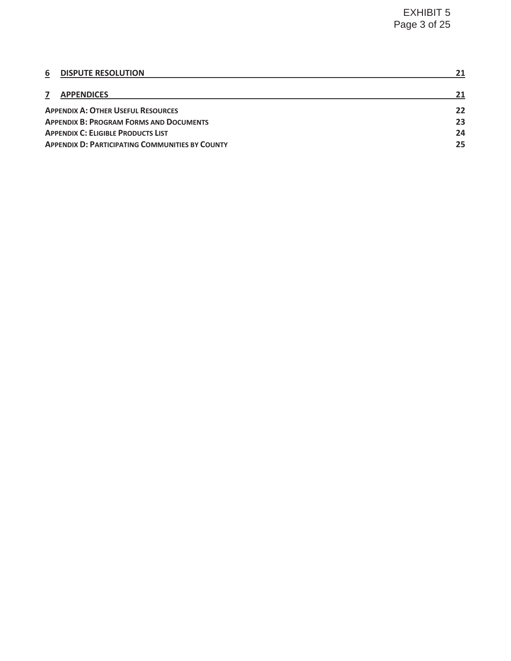| <b>DISPUTE RESOLUTION</b><br>6                         | 21 |  |
|--------------------------------------------------------|----|--|
| <b>APPENDICES</b>                                      | 21 |  |
| <b>APPENDIX A: OTHER USEFUL RESOURCES</b>              | 22 |  |
| <b>APPENDIX B: PROGRAM FORMS AND DOCUMENTS</b>         |    |  |
| <b>APPENDIX C: ELIGIBLE PRODUCTS LIST</b>              |    |  |
| <b>APPENDIX D: PARTICIPATING COMMUNITIES BY COUNTY</b> |    |  |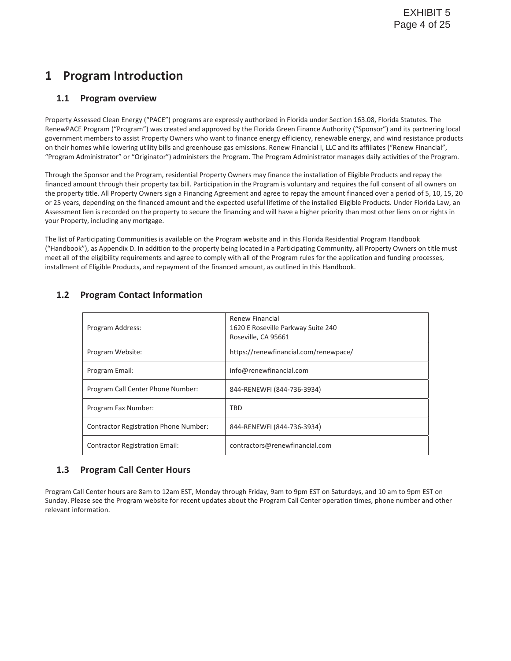## **1 Program Introduction**

## **1.1 Program overview**

Property Assessed Clean Energy ("PACE") programs are expressly authorized in Florida under Section 163.08, Florida Statutes. The RenewPACE Program ("Program") was created and approved by the Florida Green Finance Authority ("Sponsor") and its partnering local government members to assist Property Owners who want to finance energy efficiency, renewable energy, and wind resistance products on their homes while lowering utility bills and greenhouse gas emissions. Renew Financial I, LLC and its affiliates ("Renew Financial", "Program Administrator" or "Originator") administers the Program. The Program Administrator manages daily activities of the Program.

Through the Sponsor and the Program, residential Property Owners may finance the installation of Eligible Products and repay the financed amount through their property tax bill. Participation in the Program is voluntary and requires the full consent of all owners on the property title. All Property Owners sign a Financing Agreement and agree to repay the amount financed over a period of 5, 10, 15, 20 or 25 years, depending on the financed amount and the expected useful lifetime of the installed Eligible Products. Under Florida Law, an Assessment lien is recorded on the property to secure the financing and will have a higher priority than most other liens on or rights in your Property, including any mortgage.

The list of Participating Communities is available on the Program website and in this Florida Residential Program Handbook ("Handbook"), as Appendix D. In addition to the property being located in a Participating Community, all Property Owners on title must meet all of the eligibility requirements and agree to comply with all of the Program rules for the application and funding processes, installment of Eligible Products, and repayment of the financed amount, as outlined in this Handbook.

| Program Address:                      | Renew Financial<br>1620 E Roseville Parkway Suite 240<br>Roseville, CA 95661 |
|---------------------------------------|------------------------------------------------------------------------------|
| Program Website:                      | https://renewfinancial.com/renewpace/                                        |
| Program Email:                        | info@renewfinancial.com                                                      |
| Program Call Center Phone Number:     | 844-RENEWFI (844-736-3934)                                                   |
| Program Fax Number:                   | TBD                                                                          |
| Contractor Registration Phone Number: | 844-RENEWFI (844-736-3934)                                                   |
| <b>Contractor Registration Email:</b> | contractors@renewfinancial.com                                               |

## **1.2 Program Contact Information**

## **1.3 Program Call Center Hours**

Program Call Center hours are 8am to 12am EST, Monday through Friday, 9am to 9pm EST on Saturdays, and 10 am to 9pm EST on Sunday. Please see the Program website for recent updates about the Program Call Center operation times, phone number and other relevant information.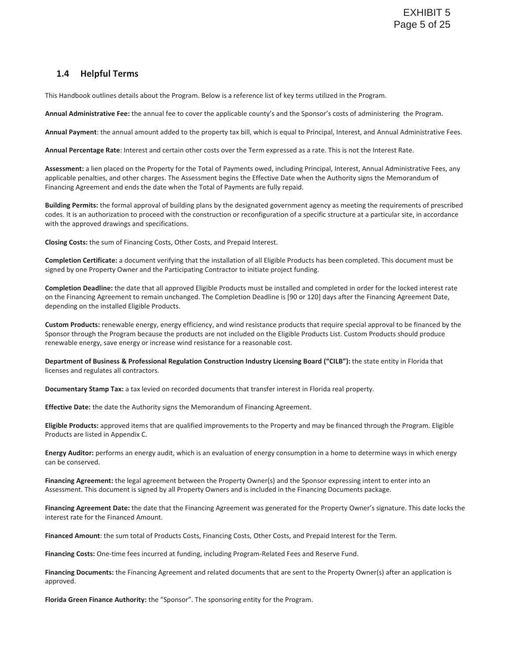## **1.4 Helpful Terms**

This Handbook outlines details about the Program. Below is a reference list of key terms utilized in the Program.

**Annual Administrative Fee:** the annual fee to cover the applicable county's and the Sponsor's costs of administering the Program.

**Annual Payment**: the annual amount added to the property tax bill, which is equal to Principal, Interest, and Annual Administrative Fees.

**Annual Percentage Rate**: Interest and certain other costs over the Term expressed as a rate. This is not the Interest Rate.

**Assessment:** a lien placed on the Property for the Total of Payments owed, including Principal, Interest, Annual Administrative Fees, any applicable penalties, and other charges. The Assessment begins the Effective Date when the Authority signs the Memorandum of Financing Agreement and ends the date when the Total of Payments are fully repaid.

**Building Permits:** the formal approval of building plans by the designated government agency as meeting the requirements of prescribed codes. It is an authorization to proceed with the construction or reconfiguration of a specific structure at a particular site, in accordance with the approved drawings and specifications.

**Closing Costs:** the sum of Financing Costs, Other Costs, and Prepaid Interest.

**Completion Certificate:** a document verifying that the installation of all Eligible Products has been completed. This document must be signed by one Property Owner and the Participating Contractor to initiate project funding.

**Completion Deadline:** the date that all approved Eligible Products must be installed and completed in order for the locked interest rate on the Financing Agreement to remain unchanged. The Completion Deadline is [90 or 120] days after the Financing Agreement Date, depending on the installed Eligible Products.

**Custom Products:** renewable energy, energy efficiency, and wind resistance products that require special approval to be financed by the Sponsor through the Program because the products are not included on the Eligible Products List. Custom Products should produce renewable energy, save energy or increase wind resistance for a reasonable cost.

**Department of Business & Professional Regulation Construction Industry Licensing Board ("CILB"):** the state entity in Florida that licenses and regulates all contractors.

**Documentary Stamp Tax:** a tax levied on recorded documents that transfer interest in Florida real property.

**Effective Date:** the date the Authority signs the Memorandum of Financing Agreement.

**Eligible Products:** approved items that are qualified improvements to the Property and may be financed through the Program. Eligible Products are listed in Appendix C.

**Energy Auditor:** performs an energy audit, which is an evaluation of energy consumption in a home to determine ways in which energy can be conserved.

**Financing Agreement:** the legal agreement between the Property Owner(s) and the Sponsor expressing intent to enter into an Assessment. This document is signed by all Property Owners and is included in the Financing Documents package.

**Financing Agreement Date:** the date that the Financing Agreement was generated for the Property Owner's signature. This date locks the interest rate for the Financed Amount.

**Financed Amount**: the sum total of Products Costs, Financing Costs, Other Costs, and Prepaid Interest for the Term.

**Financing Costs:** One-time fees incurred at funding, including Program-Related Fees and Reserve Fund.

**Financing Documents:** the Financing Agreement and related documents that are sent to the Property Owner(s) after an application is approved.

**Florida Green Finance Authority:** the "Sponsor". The sponsoring entity for the Program.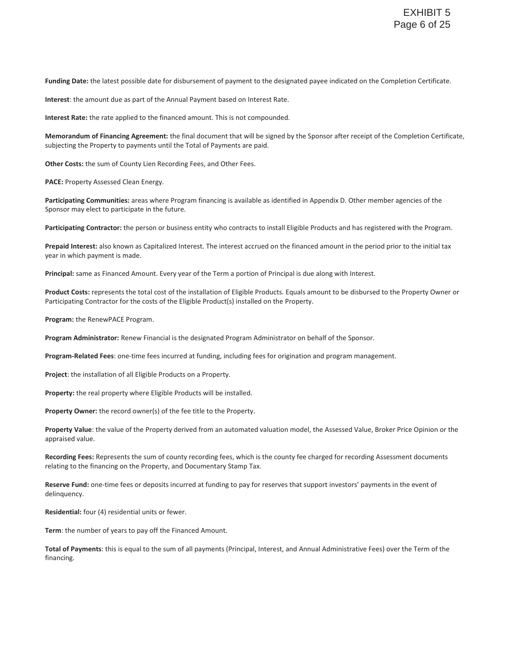**Funding Date:** the latest possible date for disbursement of payment to the designated payee indicated on the Completion Certificate.

**Interest**: the amount due as part of the Annual Payment based on Interest Rate.

**Interest Rate:** the rate applied to the financed amount. This is not compounded.

**Memorandum of Financing Agreement:** the final document that will be signed by the Sponsor after receipt of the Completion Certificate, subjecting the Property to payments until the Total of Payments are paid.

**Other Costs:** the sum of County Lien Recording Fees, and Other Fees.

**PACE:** Property Assessed Clean Energy.

**Participating Communities:** areas where Program financing is available as identified in Appendix D. Other member agencies of the Sponsor may elect to participate in the future.

**Participating Contractor:** the person or business entity who contracts to install Eligible Products and has registered with the Program.

**Prepaid Interest:** also known as Capitalized Interest. The interest accrued on the financed amount in the period prior to the initial tax year in which payment is made.

**Principal:** same as Financed Amount. Every year of the Term a portion of Principal is due along with Interest.

**Product Costs:** represents the total cost of the installation of Eligible Products. Equals amount to be disbursed to the Property Owner or Participating Contractor for the costs of the Eligible Product(s) installed on the Property.

**Program:** the RenewPACE Program.

**Program Administrator:** Renew Financial is the designated Program Administrator on behalf of the Sponsor.

**Program-Related Fees**: one-time fees incurred at funding, including fees for origination and program management.

**Project**: the installation of all Eligible Products on a Property.

**Property:** the real property where Eligible Products will be installed.

**Property Owner:** the record owner(s) of the fee title to the Property.

**Property Value**: the value of the Property derived from an automated valuation model, the Assessed Value, Broker Price Opinion or the appraised value.

**Recording Fees:** Represents the sum of county recording fees, which is the county fee charged for recording Assessment documents relating to the financing on the Property, and Documentary Stamp Tax.

**Reserve Fund:** one-time fees or deposits incurred at funding to pay for reserves that support investors' payments in the event of delinquency.

**Residential:** four (4) residential units or fewer.

**Term**: the number of years to pay off the Financed Amount.

**Total of Payments**: this is equal to the sum of all payments (Principal, Interest, and Annual Administrative Fees) over the Term of the financing.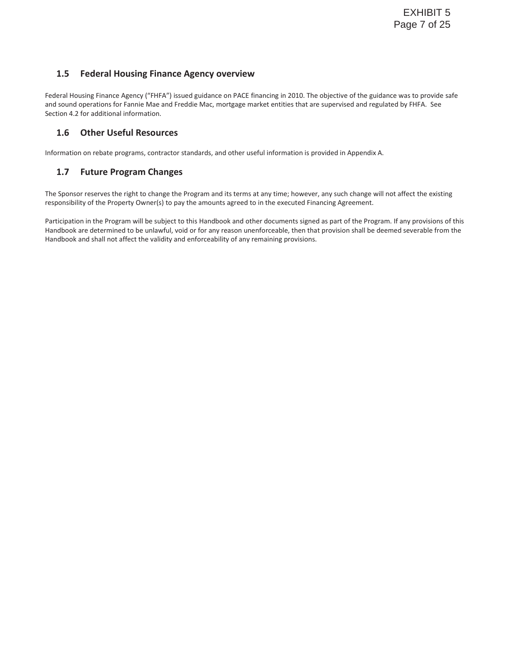## **1.5 Federal Housing Finance Agency overview**

Federal Housing Finance Agency ("FHFA") issued guidance on PACE financing in 2010. The objective of the guidance was to provide safe and sound operations for Fannie Mae and Freddie Mac, mortgage market entities that are supervised and regulated by FHFA. See Section 4.2 for additional information.

## **1.6 Other Useful Resources**

Information on rebate programs, contractor standards, and other useful information is provided in Appendix A.

## **1.7 Future Program Changes**

The Sponsor reserves the right to change the Program and its terms at any time; however, any such change will not affect the existing responsibility of the Property Owner(s) to pay the amounts agreed to in the executed Financing Agreement.

Participation in the Program will be subject to this Handbook and other documents signed as part of the Program. If any provisions of this Handbook are determined to be unlawful, void or for any reason unenforceable, then that provision shall be deemed severable from the Handbook and shall not affect the validity and enforceability of any remaining provisions.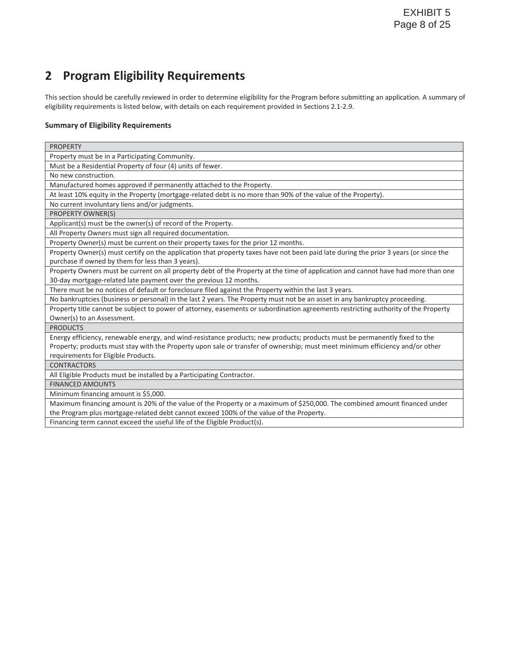## **2 Program Eligibility Requirements**

This section should be carefully reviewed in order to determine eligibility for the Program before submitting an application. A summary of eligibility requirements is listed below, with details on each requirement provided in Sections 2.1-2.9.

### **Summary of Eligibility Requirements**

| <b>PROPERTY</b>                                                                                                                      |  |  |  |  |
|--------------------------------------------------------------------------------------------------------------------------------------|--|--|--|--|
| Property must be in a Participating Community.                                                                                       |  |  |  |  |
| Must be a Residential Property of four (4) units of fewer.                                                                           |  |  |  |  |
| No new construction.                                                                                                                 |  |  |  |  |
| Manufactured homes approved if permanently attached to the Property.                                                                 |  |  |  |  |
| At least 10% equity in the Property (mortgage-related debt is no more than 90% of the value of the Property).                        |  |  |  |  |
| No current involuntary liens and/or judgments.                                                                                       |  |  |  |  |
| PROPERTY OWNER(S)                                                                                                                    |  |  |  |  |
| Applicant(s) must be the owner(s) of record of the Property.                                                                         |  |  |  |  |
| All Property Owners must sign all required documentation.                                                                            |  |  |  |  |
| Property Owner(s) must be current on their property taxes for the prior 12 months.                                                   |  |  |  |  |
| Property Owner(s) must certify on the application that property taxes have not been paid late during the prior 3 years (or since the |  |  |  |  |
| purchase if owned by them for less than 3 years).                                                                                    |  |  |  |  |
| Property Owners must be current on all property debt of the Property at the time of application and cannot have had more than one    |  |  |  |  |
| 30-day mortgage-related late payment over the previous 12 months.                                                                    |  |  |  |  |
| There must be no notices of default or foreclosure filed against the Property within the last 3 years.                               |  |  |  |  |
| No bankruptcies (business or personal) in the last 2 years. The Property must not be an asset in any bankruptcy proceeding.          |  |  |  |  |
| Property title cannot be subject to power of attorney, easements or subordination agreements restricting authority of the Property   |  |  |  |  |
| Owner(s) to an Assessment.                                                                                                           |  |  |  |  |
| <b>PRODUCTS</b>                                                                                                                      |  |  |  |  |
| Energy efficiency, renewable energy, and wind-resistance products; new products; products must be permanently fixed to the           |  |  |  |  |
| Property; products must stay with the Property upon sale or transfer of ownership; must meet minimum efficiency and/or other         |  |  |  |  |
| requirements for Eligible Products.                                                                                                  |  |  |  |  |
| <b>CONTRACTORS</b>                                                                                                                   |  |  |  |  |
| All Eligible Products must be installed by a Participating Contractor.                                                               |  |  |  |  |
| <b>FINANCED AMOUNTS</b>                                                                                                              |  |  |  |  |
| Minimum financing amount is \$5,000.                                                                                                 |  |  |  |  |
| Maximum financing amount is 20% of the value of the Property or a maximum of \$250,000. The combined amount financed under           |  |  |  |  |
| the Program plus mortgage-related debt cannot exceed 100% of the value of the Property.                                              |  |  |  |  |
| Financing term cannot exceed the useful life of the Eligible Product(s).                                                             |  |  |  |  |
|                                                                                                                                      |  |  |  |  |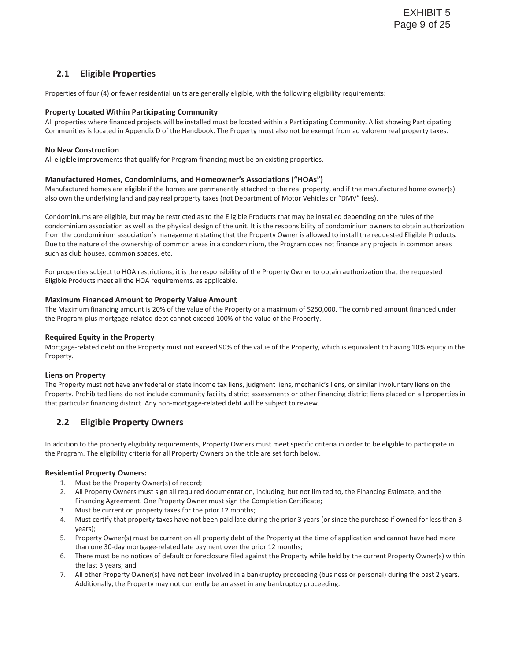## **2.1 Eligible Properties**

Properties of four (4) or fewer residential units are generally eligible, with the following eligibility requirements:

### **Property Located Within Participating Community**

All properties where financed projects will be installed must be located within a Participating Community. A list showing Participating Communities is located in Appendix D of the Handbook. The Property must also not be exempt from ad valorem real property taxes.

### **No New Construction**

All eligible improvements that qualify for Program financing must be on existing properties.

#### **Manufactured Homes, Condominiums, and Homeowner's Associations ("HOAs")**

Manufactured homes are eligible if the homes are permanently attached to the real property, and if the manufactured home owner(s) also own the underlying land and pay real property taxes (not Department of Motor Vehicles or "DMV" fees).

Condominiums are eligible, but may be restricted as to the Eligible Products that may be installed depending on the rules of the condominium association as well as the physical design of the unit. It is the responsibility of condominium owners to obtain authorization from the condominium association's management stating that the Property Owner is allowed to install the requested Eligible Products. Due to the nature of the ownership of common areas in a condominium, the Program does not finance any projects in common areas such as club houses, common spaces, etc.

For properties subject to HOA restrictions, it is the responsibility of the Property Owner to obtain authorization that the requested Eligible Products meet all the HOA requirements, as applicable.

#### **Maximum Financed Amount to Property Value Amount**

The Maximum financing amount is 20% of the value of the Property or a maximum of \$250,000. The combined amount financed under the Program plus mortgage-related debt cannot exceed 100% of the value of the Property.

#### **Required Equity in the Property**

Mortgage-related debt on the Property must not exceed 90% of the value of the Property, which is equivalent to having 10% equity in the Property.

#### **Liens on Property**

The Property must not have any federal or state income tax liens, judgment liens, mechanic's liens, or similar involuntary liens on the Property. Prohibited liens do not include community facility district assessments or other financing district liens placed on all properties in that particular financing district. Any non-mortgage-related debt will be subject to review.

## **2.2 Eligible Property Owners**

In addition to the property eligibility requirements, Property Owners must meet specific criteria in order to be eligible to participate in the Program. The eligibility criteria for all Property Owners on the title are set forth below.

#### **Residential Property Owners:**

- 1. Must be the Property Owner(s) of record;
- 2. All Property Owners must sign all required documentation, including, but not limited to, the Financing Estimate, and the Financing Agreement. One Property Owner must sign the Completion Certificate;
- 3. Must be current on property taxes for the prior 12 months;
- 4. Must certify that property taxes have not been paid late during the prior 3 years (or since the purchase if owned for less than 3 years);
- 5. Property Owner(s) must be current on all property debt of the Property at the time of application and cannot have had more than one 30-day mortgage-related late payment over the prior 12 months;
- 6. There must be no notices of default or foreclosure filed against the Property while held by the current Property Owner(s) within the last 3 years; and
- 7. All other Property Owner(s) have not been involved in a bankruptcy proceeding (business or personal) during the past 2 years. Additionally, the Property may not currently be an asset in any bankruptcy proceeding.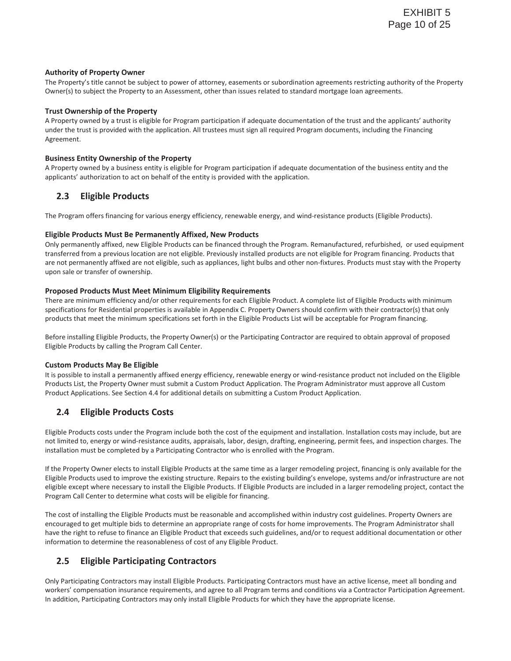#### **Authority of Property Owner**

The Property's title cannot be subject to power of attorney, easements or subordination agreements restricting authority of the Property Owner(s) to subject the Property to an Assessment, other than issues related to standard mortgage loan agreements.

#### **Trust Ownership of the Property**

A Property owned by a trust is eligible for Program participation if adequate documentation of the trust and the applicants' authority under the trust is provided with the application. All trustees must sign all required Program documents, including the Financing Agreement.

### **Business Entity Ownership of the Property**

A Property owned by a business entity is eligible for Program participation if adequate documentation of the business entity and the applicants' authorization to act on behalf of the entity is provided with the application.

## **2.3 Eligible Products**

The Program offers financing for various energy efficiency, renewable energy, and wind-resistance products (Eligible Products).

### **Eligible Products Must Be Permanently Affixed, New Products**

Only permanently affixed, new Eligible Products can be financed through the Program. Remanufactured, refurbished, or used equipment transferred from a previous location are not eligible. Previously installed products are not eligible for Program financing. Products that are not permanently affixed are not eligible, such as appliances, light bulbs and other non-fixtures. Products must stay with the Property upon sale or transfer of ownership.

### **Proposed Products Must Meet Minimum Eligibility Requirements**

There are minimum efficiency and/or other requirements for each Eligible Product. A complete list of Eligible Products with minimum specifications for Residential properties is available in Appendix C. Property Owners should confirm with their contractor(s) that only products that meet the minimum specifications set forth in the Eligible Products List will be acceptable for Program financing.

Before installing Eligible Products, the Property Owner(s) or the Participating Contractor are required to obtain approval of proposed Eligible Products by calling the Program Call Center.

## **Custom Products May Be Eligible**

It is possible to install a permanently affixed energy efficiency, renewable energy or wind-resistance product not included on the Eligible Products List, the Property Owner must submit a Custom Product Application. The Program Administrator must approve all Custom Product Applications. See Section 4.4 for additional details on submitting a Custom Product Application.

## **2.4 Eligible Products Costs**

Eligible Products costs under the Program include both the cost of the equipment and installation. Installation costs may include, but are not limited to, energy or wind-resistance audits, appraisals, labor, design, drafting, engineering, permit fees, and inspection charges. The installation must be completed by a Participating Contractor who is enrolled with the Program.

If the Property Owner elects to install Eligible Products at the same time as a larger remodeling project, financing is only available for the Eligible Products used to improve the existing structure. Repairs to the existing building's envelope, systems and/or infrastructure are not eligible except where necessary to install the Eligible Products. If Eligible Products are included in a larger remodeling project, contact the Program Call Center to determine what costs will be eligible for financing.

The cost of installing the Eligible Products must be reasonable and accomplished within industry cost guidelines. Property Owners are encouraged to get multiple bids to determine an appropriate range of costs for home improvements. The Program Administrator shall have the right to refuse to finance an Eligible Product that exceeds such guidelines, and/or to request additional documentation or other information to determine the reasonableness of cost of any Eligible Product.

## **2.5 Eligible Participating Contractors**

Only Participating Contractors may install Eligible Products. Participating Contractors must have an active license, meet all bonding and workers' compensation insurance requirements, and agree to all Program terms and conditions via a Contractor Participation Agreement. In addition, Participating Contractors may only install Eligible Products for which they have the appropriate license.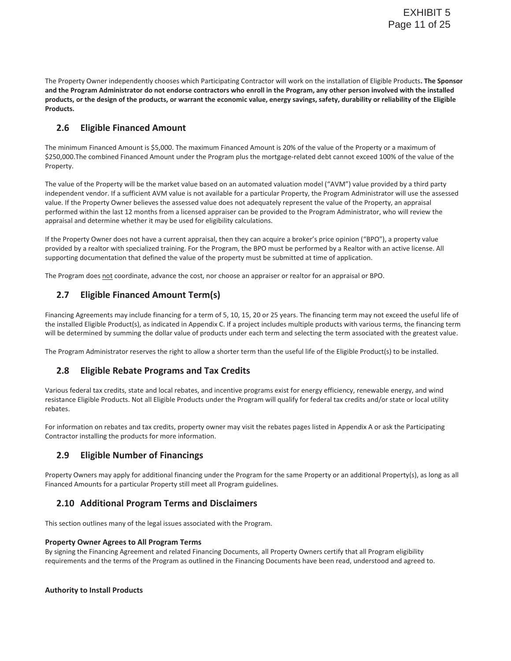The Property Owner independently chooses which Participating Contractor will work on the installation of Eligible Products**. The Sponsor and the Program Administrator do not endorse contractors who enroll in the Program, any other person involved with the installed products, or the design of the products, or warrant the economic value, energy savings, safety, durability or reliability of the Eligible Products.** 

## **2.6 Eligible Financed Amount**

The minimum Financed Amount is \$5,000. The maximum Financed Amount is 20% of the value of the Property or a maximum of \$250,000.The combined Financed Amount under the Program plus the mortgage-related debt cannot exceed 100% of the value of the Property.

The value of the Property will be the market value based on an automated valuation model ("AVM") value provided by a third party independent vendor. If a sufficient AVM value is not available for a particular Property, the Program Administrator will use the assessed value. If the Property Owner believes the assessed value does not adequately represent the value of the Property, an appraisal performed within the last 12 months from a licensed appraiser can be provided to the Program Administrator, who will review the appraisal and determine whether it may be used for eligibility calculations.

If the Property Owner does not have a current appraisal, then they can acquire a broker's price opinion ("BPO"), a property value provided by a realtor with specialized training. For the Program, the BPO must be performed by a Realtor with an active license. All supporting documentation that defined the value of the property must be submitted at time of application.

The Program does not coordinate, advance the cost, nor choose an appraiser or realtor for an appraisal or BPO.

## **2.7 Eligible Financed Amount Term(s)**

Financing Agreements may include financing for a term of 5, 10, 15, 20 or 25 years. The financing term may not exceed the useful life of the installed Eligible Product(s), as indicated in Appendix C. If a project includes multiple products with various terms, the financing term will be determined by summing the dollar value of products under each term and selecting the term associated with the greatest value.

The Program Administrator reserves the right to allow a shorter term than the useful life of the Eligible Product(s) to be installed.

## **2.8 Eligible Rebate Programs and Tax Credits**

Various federal tax credits, state and local rebates, and incentive programs exist for energy efficiency, renewable energy, and wind resistance Eligible Products. Not all Eligible Products under the Program will qualify for federal tax credits and/or state or local utility rebates.

For information on rebates and tax credits, property owner may visit the rebates pages listed in Appendix A or ask the Participating Contractor installing the products for more information.

## **2.9 Eligible Number of Financings**

Property Owners may apply for additional financing under the Program for the same Property or an additional Property(s), as long as all Financed Amounts for a particular Property still meet all Program guidelines.

## **2.10 Additional Program Terms and Disclaimers**

This section outlines many of the legal issues associated with the Program.

## **Property Owner Agrees to All Program Terms**

By signing the Financing Agreement and related Financing Documents, all Property Owners certify that all Program eligibility requirements and the terms of the Program as outlined in the Financing Documents have been read, understood and agreed to.

## **Authority to Install Products**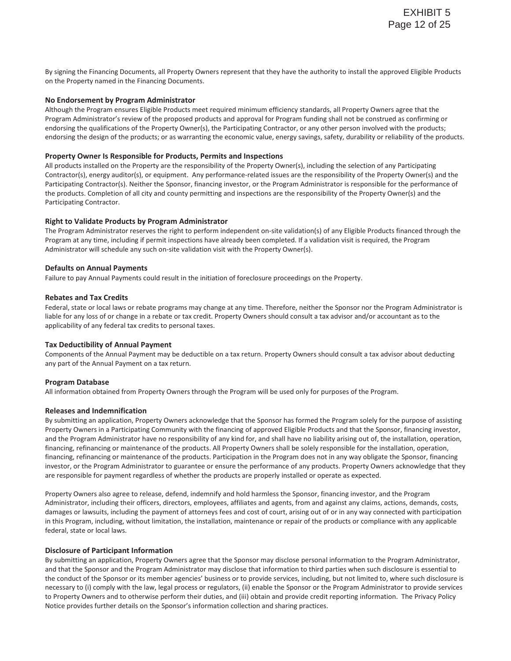By signing the Financing Documents, all Property Owners represent that they have the authority to install the approved Eligible Products on the Property named in the Financing Documents.

#### **No Endorsement by Program Administrator**

Although the Program ensures Eligible Products meet required minimum efficiency standards, all Property Owners agree that the Program Administrator's review of the proposed products and approval for Program funding shall not be construed as confirming or endorsing the qualifications of the Property Owner(s), the Participating Contractor, or any other person involved with the products; endorsing the design of the products; or as warranting the economic value, energy savings, safety, durability or reliability of the products.

#### **Property Owner Is Responsible for Products, Permits and Inspections**

All products installed on the Property are the responsibility of the Property Owner(s), including the selection of any Participating Contractor(s), energy auditor(s), or equipment. Any performance-related issues are the responsibility of the Property Owner(s) and the Participating Contractor(s). Neither the Sponsor, financing investor, or the Program Administrator is responsible for the performance of the products. Completion of all city and county permitting and inspections are the responsibility of the Property Owner(s) and the Participating Contractor.

#### **Right to Validate Products by Program Administrator**

The Program Administrator reserves the right to perform independent on-site validation(s) of any Eligible Products financed through the Program at any time, including if permit inspections have already been completed. If a validation visit is required, the Program Administrator will schedule any such on-site validation visit with the Property Owner(s).

#### **Defaults on Annual Payments**

Failure to pay Annual Payments could result in the initiation of foreclosure proceedings on the Property.

#### **Rebates and Tax Credits**

Federal, state or local laws or rebate programs may change at any time. Therefore, neither the Sponsor nor the Program Administrator is liable for any loss of or change in a rebate or tax credit. Property Owners should consult a tax advisor and/or accountant as to the applicability of any federal tax credits to personal taxes.

#### **Tax Deductibility of Annual Payment**

Components of the Annual Payment may be deductible on a tax return. Property Owners should consult a tax advisor about deducting any part of the Annual Payment on a tax return.

#### **Program Database**

All information obtained from Property Owners through the Program will be used only for purposes of the Program.

#### **Releases and Indemnification**

By submitting an application, Property Owners acknowledge that the Sponsor has formed the Program solely for the purpose of assisting Property Owners in a Participating Community with the financing of approved Eligible Products and that the Sponsor, financing investor, and the Program Administrator have no responsibility of any kind for, and shall have no liability arising out of, the installation, operation, financing, refinancing or maintenance of the products. All Property Owners shall be solely responsible for the installation, operation, financing, refinancing or maintenance of the products. Participation in the Program does not in any way obligate the Sponsor, financing investor, or the Program Administrator to guarantee or ensure the performance of any products. Property Owners acknowledge that they are responsible for payment regardless of whether the products are properly installed or operate as expected.

Property Owners also agree to release, defend, indemnify and hold harmless the Sponsor, financing investor, and the Program Administrator, including their officers, directors, employees, affiliates and agents, from and against any claims, actions, demands, costs, damages or lawsuits, including the payment of attorneys fees and cost of court, arising out of or in any way connected with participation in this Program, including, without limitation, the installation, maintenance or repair of the products or compliance with any applicable federal, state or local laws.

#### **Disclosure of Participant Information**

By submitting an application, Property Owners agree that the Sponsor may disclose personal information to the Program Administrator, and that the Sponsor and the Program Administrator may disclose that information to third parties when such disclosure is essential to the conduct of the Sponsor or its member agencies' business or to provide services, including, but not limited to, where such disclosure is necessary to (i) comply with the law, legal process or regulators, (ii) enable the Sponsor or the Program Administrator to provide services to Property Owners and to otherwise perform their duties, and (iii) obtain and provide credit reporting information. The Privacy Policy Notice provides further details on the Sponsor's information collection and sharing practices.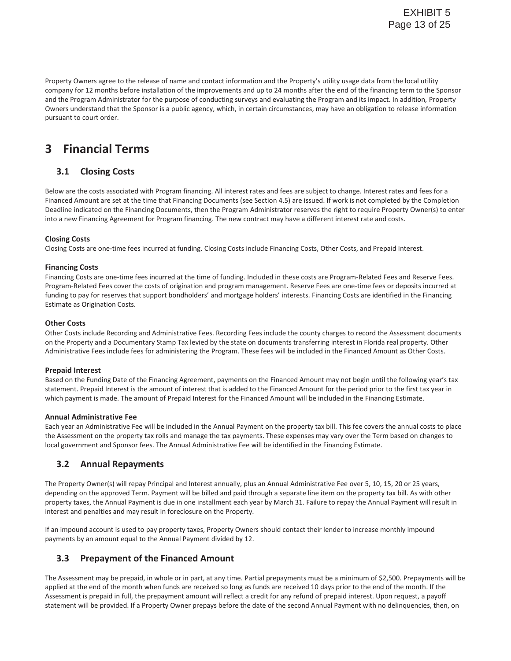Property Owners agree to the release of name and contact information and the Property's utility usage data from the local utility company for 12 months before installation of the improvements and up to 24 months after the end of the financing term to the Sponsor and the Program Administrator for the purpose of conducting surveys and evaluating the Program and its impact. In addition, Property Owners understand that the Sponsor is a public agency, which, in certain circumstances, may have an obligation to release information pursuant to court order.

## **3 Financial Terms**

## **3.1 Closing Costs**

Below are the costs associated with Program financing. All interest rates and fees are subject to change. Interest rates and fees for a Financed Amount are set at the time that Financing Documents (see Section 4.5) are issued. If work is not completed by the Completion Deadline indicated on the Financing Documents, then the Program Administrator reserves the right to require Property Owner(s) to enter into a new Financing Agreement for Program financing. The new contract may have a different interest rate and costs.

## **Closing Costs**

Closing Costs are one-time fees incurred at funding. Closing Costs include Financing Costs, Other Costs, and Prepaid Interest.

### **Financing Costs**

Financing Costs are one-time fees incurred at the time of funding. Included in these costs are Program-Related Fees and Reserve Fees. Program-Related Fees cover the costs of origination and program management. Reserve Fees are one-time fees or deposits incurred at funding to pay for reserves that support bondholders' and mortgage holders' interests. Financing Costs are identified in the Financing Estimate as Origination Costs.

### **Other Costs**

Other Costs include Recording and Administrative Fees. Recording Fees include the county charges to record the Assessment documents on the Property and a Documentary Stamp Tax levied by the state on documents transferring interest in Florida real property. Other Administrative Fees include fees for administering the Program. These fees will be included in the Financed Amount as Other Costs.

#### **Prepaid Interest**

Based on the Funding Date of the Financing Agreement, payments on the Financed Amount may not begin until the following year's tax statement. Prepaid Interest is the amount of interest that is added to the Financed Amount for the period prior to the first tax year in which payment is made. The amount of Prepaid Interest for the Financed Amount will be included in the Financing Estimate.

#### **Annual Administrative Fee**

Each year an Administrative Fee will be included in the Annual Payment on the property tax bill. This fee covers the annual costs to place the Assessment on the property tax rolls and manage the tax payments. These expenses may vary over the Term based on changes to local government and Sponsor fees. The Annual Administrative Fee will be identified in the Financing Estimate.

## **3.2 Annual Repayments**

The Property Owner(s) will repay Principal and Interest annually, plus an Annual Administrative Fee over 5, 10, 15, 20 or 25 years, depending on the approved Term. Payment will be billed and paid through a separate line item on the property tax bill. As with other property taxes, the Annual Payment is due in one installment each year by March 31. Failure to repay the Annual Payment will result in interest and penalties and may result in foreclosure on the Property.

If an impound account is used to pay property taxes, Property Owners should contact their lender to increase monthly impound payments by an amount equal to the Annual Payment divided by 12.

## **3.3 Prepayment of the Financed Amount**

The Assessment may be prepaid, in whole or in part, at any time. Partial prepayments must be a minimum of \$2,500. Prepayments will be applied at the end of the month when funds are received so long as funds are received 10 days prior to the end of the month. If the Assessment is prepaid in full, the prepayment amount will reflect a credit for any refund of prepaid interest. Upon request, a payoff statement will be provided. If a Property Owner prepays before the date of the second Annual Payment with no delinquencies, then, on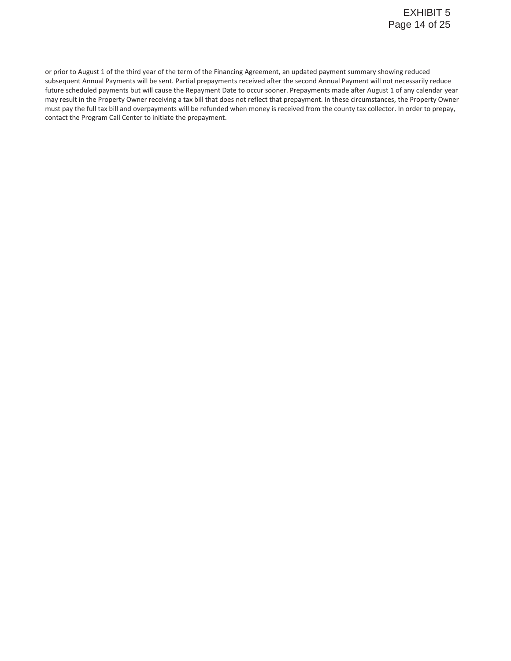or prior to August 1 of the third year of the term of the Financing Agreement, an updated payment summary showing reduced subsequent Annual Payments will be sent. Partial prepayments received after the second Annual Payment will not necessarily reduce future scheduled payments but will cause the Repayment Date to occur sooner. Prepayments made after August 1 of any calendar year may result in the Property Owner receiving a tax bill that does not reflect that prepayment. In these circumstances, the Property Owner must pay the full tax bill and overpayments will be refunded when money is received from the county tax collector. In order to prepay, contact the Program Call Center to initiate the prepayment.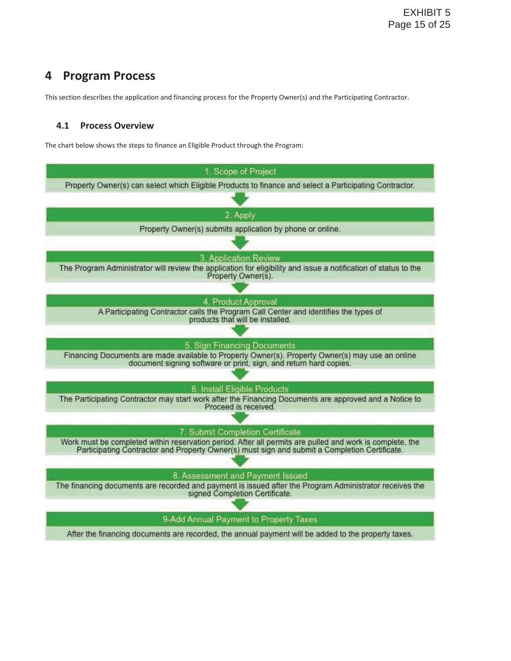## **4 Program Process**

This section describes the application and financing process for the Property Owner(s) and the Participating Contractor.

## **4.1 Process Overview**

The chart below shows the steps to finance an Eligible Product through the Program:

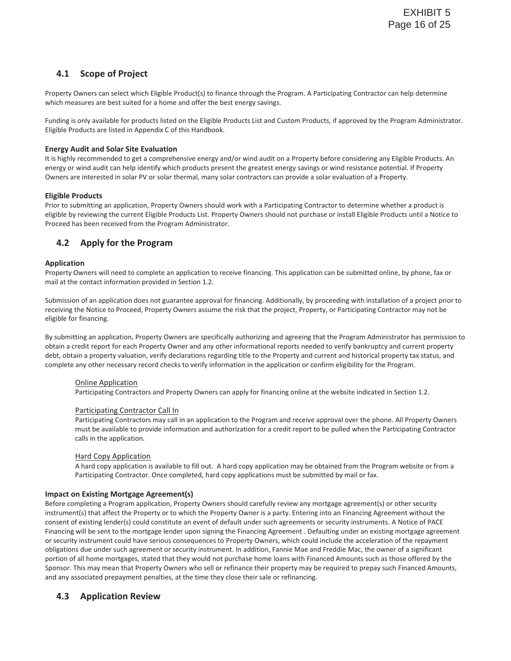## **4.1 Scope of Project**

Property Owners can select which Eligible Product(s) to finance through the Program. A Participating Contractor can help determine which measures are best suited for a home and offer the best energy savings.

Funding is only available for products listed on the Eligible Products List and Custom Products, if approved by the Program Administrator. Eligible Products are listed in Appendix C of this Handbook.

## **Energy Audit and Solar Site Evaluation**

It is highly recommended to get a comprehensive energy and/or wind audit on a Property before considering any Eligible Products. An energy or wind audit can help identify which products present the greatest energy savings or wind resistance potential. If Property Owners are interested in solar PV or solar thermal, many solar contractors can provide a solar evaluation of a Property.

## **Eligible Products**

Prior to submitting an application, Property Owners should work with a Participating Contractor to determine whether a product is eligible by reviewing the current Eligible Products List. Property Owners should not purchase or install Eligible Products until a Notice to Proceed has been received from the Program Administrator.

## **4.2 Apply for the Program**

## **Application**

Property Owners will need to complete an application to receive financing. This application can be submitted online, by phone, fax or mail at the contact information provided in Section 1.2.

Submission of an application does not guarantee approval for financing. Additionally, by proceeding with installation of a project prior to receiving the Notice to Proceed, Property Owners assume the risk that the project, Property, or Participating Contractor may not be eligible for financing.

By submitting an application, Property Owners are specifically authorizing and agreeing that the Program Administrator has permission to obtain a credit report for each Property Owner and any other informational reports needed to verify bankruptcy and current property debt, obtain a property valuation, verify declarations regarding title to the Property and current and historical property tax status, and complete any other necessary record checks to verify information in the application or confirm eligibility for the Program.

## Online Application

Participating Contractors and Property Owners can apply for financing online at the website indicated in Section 1.2.

## Participating Contractor Call In

Participating Contractors may call in an application to the Program and receive approval over the phone. All Property Owners must be available to provide information and authorization for a credit report to be pulled when the Participating Contractor calls in the application.

## Hard Copy Application

A hard copy application is available to fill out. A hard copy application may be obtained from the Program website or from a Participating Contractor. Once completed, hard copy applications must be submitted by mail or fax.

## **Impact on Existing Mortgage Agreement(s)**

Before completing a Program application, Property Owners should carefully review any mortgage agreement(s) or other security instrument(s) that affect the Property or to which the Property Owner is a party. Entering into an Financing Agreement without the consent of existing lender(s) could constitute an event of default under such agreements or security instruments. A Notice of PACE Financing will be sent to the mortgage lender upon signing the Financing Agreement . Defaulting under an existing mortgage agreement or security instrument could have serious consequences to Property Owners, which could include the acceleration of the repayment obligations due under such agreement or security instrument. In addition, Fannie Mae and Freddie Mac, the owner of a significant portion of all home mortgages, stated that they would not purchase home loans with Financed Amounts such as those offered by the Sponsor. This may mean that Property Owners who sell or refinance their property may be required to prepay such Financed Amounts, and any associated prepayment penalties, at the time they close their sale or refinancing.

## **4.3 Application Review**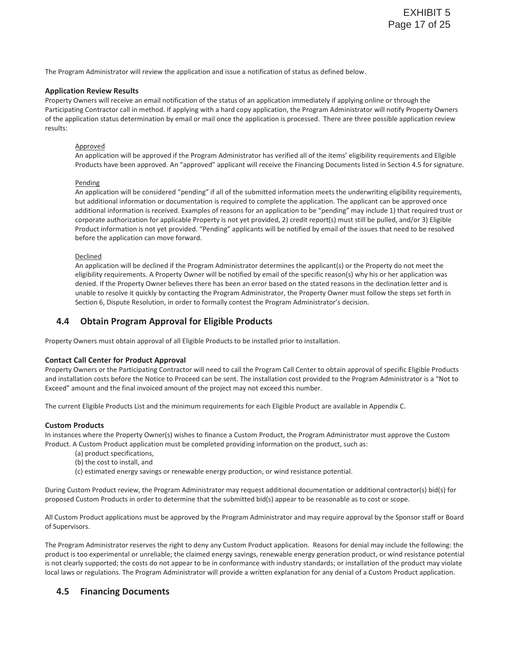The Program Administrator will review the application and issue a notification of status as defined below.

#### **Application Review Results**

Property Owners will receive an email notification of the status of an application immediately if applying online or through the Participating Contractor call in method. If applying with a hard copy application, the Program Administrator will notify Property Owners of the application status determination by email or mail once the application is processed. There are three possible application review results:

#### Approved

An application will be approved if the Program Administrator has verified all of the items' eligibility requirements and Eligible Products have been approved. An "approved" applicant will receive the Financing Documents listed in Section 4.5 for signature.

#### Pending

An application will be considered "pending" if all of the submitted information meets the underwriting eligibility requirements, but additional information or documentation is required to complete the application. The applicant can be approved once additional information is received. Examples of reasons for an application to be "pending" may include 1) that required trust or corporate authorization for applicable Property is not yet provided, 2) credit report(s) must still be pulled, and/or 3) Eligible Product information is not yet provided. "Pending" applicants will be notified by email of the issues that need to be resolved before the application can move forward.

#### **Declined**

An application will be declined if the Program Administrator determines the applicant(s) or the Property do not meet the eligibility requirements. A Property Owner will be notified by email of the specific reason(s) why his or her application was denied. If the Property Owner believes there has been an error based on the stated reasons in the declination letter and is unable to resolve it quickly by contacting the Program Administrator, the Property Owner must follow the steps set forth in Section 6, Dispute Resolution, in order to formally contest the Program Administrator's decision.

## **4.4 Obtain Program Approval for Eligible Products**

Property Owners must obtain approval of all Eligible Products to be installed prior to installation.

#### **Contact Call Center for Product Approval**

Property Owners or the Participating Contractor will need to call the Program Call Center to obtain approval of specific Eligible Products and installation costs before the Notice to Proceed can be sent. The installation cost provided to the Program Administrator is a "Not to Exceed" amount and the final invoiced amount of the project may not exceed this number.

The current Eligible Products List and the minimum requirements for each Eligible Product are available in Appendix C.

#### **Custom Products**

In instances where the Property Owner(s) wishes to finance a Custom Product, the Program Administrator must approve the Custom Product. A Custom Product application must be completed providing information on the product, such as:

- (a) product specifications,
- (b) the cost to install, and
- (c) estimated energy savings or renewable energy production, or wind resistance potential.

During Custom Product review, the Program Administrator may request additional documentation or additional contractor(s) bid(s) for proposed Custom Products in order to determine that the submitted bid(s) appear to be reasonable as to cost or scope.

All Custom Product applications must be approved by the Program Administrator and may require approval by the Sponsor staff or Board of Supervisors.

The Program Administrator reserves the right to deny any Custom Product application. Reasons for denial may include the following: the product is too experimental or unreliable; the claimed energy savings, renewable energy generation product, or wind resistance potential is not clearly supported; the costs do not appear to be in conformance with industry standards; or installation of the product may violate local laws or regulations. The Program Administrator will provide a written explanation for any denial of a Custom Product application.

## **4.5 Financing Documents**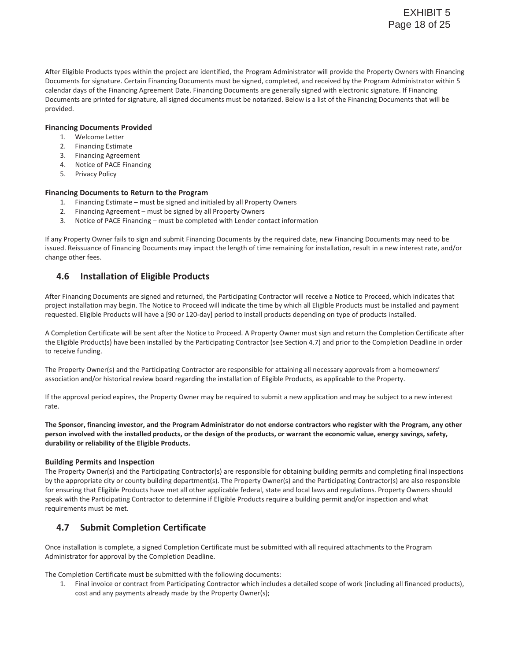After Eligible Products types within the project are identified, the Program Administrator will provide the Property Owners with Financing Documents for signature. Certain Financing Documents must be signed, completed, and received by the Program Administrator within 5 calendar days of the Financing Agreement Date. Financing Documents are generally signed with electronic signature. If Financing Documents are printed for signature, all signed documents must be notarized. Below is a list of the Financing Documents that will be provided.

#### **Financing Documents Provided**

- 1. Welcome Letter
- 2. Financing Estimate
- 3. Financing Agreement
- 4. Notice of PACE Financing
- 5. Privacy Policy

#### **Financing Documents to Return to the Program**

- 1. Financing Estimate must be signed and initialed by all Property Owners
- 2. Financing Agreement must be signed by all Property Owners
- 3. Notice of PACE Financing must be completed with Lender contact information

If any Property Owner fails to sign and submit Financing Documents by the required date, new Financing Documents may need to be issued. Reissuance of Financing Documents may impact the length of time remaining for installation, result in a new interest rate, and/or change other fees.

## **4.6 Installation of Eligible Products**

After Financing Documents are signed and returned, the Participating Contractor will receive a Notice to Proceed, which indicates that project installation may begin. The Notice to Proceed will indicate the time by which all Eligible Products must be installed and payment requested. Eligible Products will have a [90 or 120-day] period to install products depending on type of products installed.

A Completion Certificate will be sent after the Notice to Proceed. A Property Owner must sign and return the Completion Certificate after the Eligible Product(s) have been installed by the Participating Contractor (see Section 4.7) and prior to the Completion Deadline in order to receive funding.

The Property Owner(s) and the Participating Contractor are responsible for attaining all necessary approvals from a homeowners' association and/or historical review board regarding the installation of Eligible Products, as applicable to the Property.

If the approval period expires, the Property Owner may be required to submit a new application and may be subject to a new interest rate.

**The Sponsor, financing investor, and the Program Administrator do not endorse contractors who register with the Program, any other person involved with the installed products, or the design of the products, or warrant the economic value, energy savings, safety, durability or reliability of the Eligible Products.** 

#### **Building Permits and Inspection**

The Property Owner(s) and the Participating Contractor(s) are responsible for obtaining building permits and completing final inspections by the appropriate city or county building department(s). The Property Owner(s) and the Participating Contractor(s) are also responsible for ensuring that Eligible Products have met all other applicable federal, state and local laws and regulations. Property Owners should speak with the Participating Contractor to determine if Eligible Products require a building permit and/or inspection and what requirements must be met.

## **4.7 Submit Completion Certificate**

Once installation is complete, a signed Completion Certificate must be submitted with all required attachments to the Program Administrator for approval by the Completion Deadline.

The Completion Certificate must be submitted with the following documents:

1. Final invoice or contract from Participating Contractor which includes a detailed scope of work (including all financed products), cost and any payments already made by the Property Owner(s);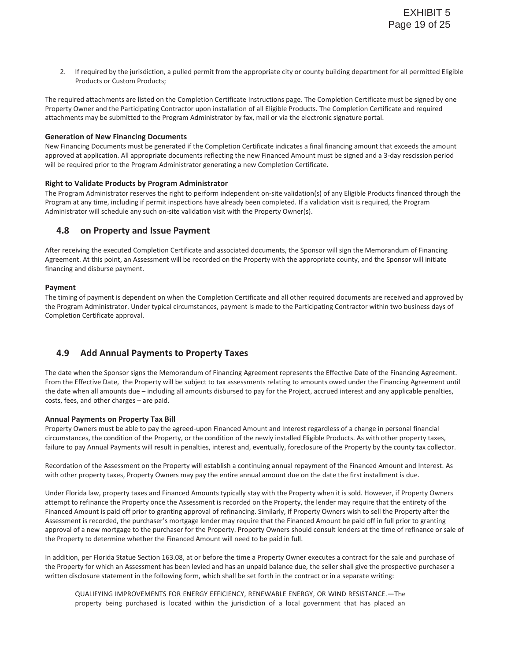2. If required by the jurisdiction, a pulled permit from the appropriate city or county building department for all permitted Eligible Products or Custom Products;

The required attachments are listed on the Completion Certificate Instructions page. The Completion Certificate must be signed by one Property Owner and the Participating Contractor upon installation of all Eligible Products. The Completion Certificate and required attachments may be submitted to the Program Administrator by fax, mail or via the electronic signature portal.

#### **Generation of New Financing Documents**

New Financing Documents must be generated if the Completion Certificate indicates a final financing amount that exceeds the amount approved at application. All appropriate documents reflecting the new Financed Amount must be signed and a 3-day rescission period will be required prior to the Program Administrator generating a new Completion Certificate.

#### **Right to Validate Products by Program Administrator**

The Program Administrator reserves the right to perform independent on-site validation(s) of any Eligible Products financed through the Program at any time, including if permit inspections have already been completed. If a validation visit is required, the Program Administrator will schedule any such on-site validation visit with the Property Owner(s).

## **4.8 on Property and Issue Payment**

After receiving the executed Completion Certificate and associated documents, the Sponsor will sign the Memorandum of Financing Agreement. At this point, an Assessment will be recorded on the Property with the appropriate county, and the Sponsor will initiate financing and disburse payment.

#### **Payment**

The timing of payment is dependent on when the Completion Certificate and all other required documents are received and approved by the Program Administrator. Under typical circumstances, payment is made to the Participating Contractor within two business days of Completion Certificate approval.

## **4.9 Add Annual Payments to Property Taxes**

The date when the Sponsor signs the Memorandum of Financing Agreement represents the Effective Date of the Financing Agreement. From the Effective Date, the Property will be subject to tax assessments relating to amounts owed under the Financing Agreement until the date when all amounts due – including all amounts disbursed to pay for the Project, accrued interest and any applicable penalties, costs, fees, and other charges – are paid.

#### **Annual Payments on Property Tax Bill**

Property Owners must be able to pay the agreed-upon Financed Amount and Interest regardless of a change in personal financial circumstances, the condition of the Property, or the condition of the newly installed Eligible Products. As with other property taxes, failure to pay Annual Payments will result in penalties, interest and, eventually, foreclosure of the Property by the county tax collector.

Recordation of the Assessment on the Property will establish a continuing annual repayment of the Financed Amount and Interest. As with other property taxes, Property Owners may pay the entire annual amount due on the date the first installment is due.

Under Florida law, property taxes and Financed Amounts typically stay with the Property when it is sold. However, if Property Owners attempt to refinance the Property once the Assessment is recorded on the Property, the lender may require that the entirety of the Financed Amount is paid off prior to granting approval of refinancing. Similarly, if Property Owners wish to sell the Property after the Assessment is recorded, the purchaser's mortgage lender may require that the Financed Amount be paid off in full prior to granting approval of a new mortgage to the purchaser for the Property. Property Owners should consult lenders at the time of refinance or sale of the Property to determine whether the Financed Amount will need to be paid in full.

In addition, per Florida Statue Section 163.08, at or before the time a Property Owner executes a contract for the sale and purchase of the Property for which an Assessment has been levied and has an unpaid balance due, the seller shall give the prospective purchaser a written disclosure statement in the following form, which shall be set forth in the contract or in a separate writing:

QUALIFYING IMPROVEMENTS FOR ENERGY EFFICIENCY, RENEWABLE ENERGY, OR WIND RESISTANCE.—The property being purchased is located within the jurisdiction of a local government that has placed an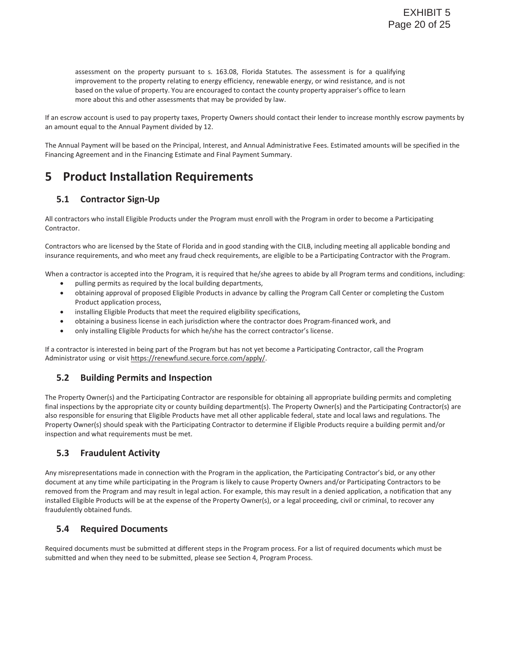assessment on the property pursuant to s. 163.08, Florida Statutes. The assessment is for a qualifying improvement to the property relating to energy efficiency, renewable energy, or wind resistance, and is not based on the value of property. You are encouraged to contact the county property appraiser's office to learn more about this and other assessments that may be provided by law.

If an escrow account is used to pay property taxes, Property Owners should contact their lender to increase monthly escrow payments by an amount equal to the Annual Payment divided by 12.

The Annual Payment will be based on the Principal, Interest, and Annual Administrative Fees. Estimated amounts will be specified in the Financing Agreement and in the Financing Estimate and Final Payment Summary.

## **5 Product Installation Requirements**

## **5.1 Contractor Sign-Up**

All contractors who install Eligible Products under the Program must enroll with the Program in order to become a Participating Contractor.

Contractors who are licensed by the State of Florida and in good standing with the CILB, including meeting all applicable bonding and insurance requirements, and who meet any fraud check requirements, are eligible to be a Participating Contractor with the Program.

When a contractor is accepted into the Program, it is required that he/she agrees to abide by all Program terms and conditions, including:

- pulling permits as required by the local building departments,
- obtaining approval of proposed Eligible Products in advance by calling the Program Call Center or completing the Custom Product application process,
- installing Eligible Products that meet the required eligibility specifications,
- obtaining a business license in each jurisdiction where the contractor does Program-financed work, and
- only installing Eligible Products for which he/she has the correct contractor's license.

If a contractor is interested in being part of the Program but has not yet become a Participating Contractor, call the Program Administrator using or visit https://renewfund.secure.force.com/apply/.

## **5.2 Building Permits and Inspection**

The Property Owner(s) and the Participating Contractor are responsible for obtaining all appropriate building permits and completing final inspections by the appropriate city or county building department(s). The Property Owner(s) and the Participating Contractor(s) are also responsible for ensuring that Eligible Products have met all other applicable federal, state and local laws and regulations. The Property Owner(s) should speak with the Participating Contractor to determine if Eligible Products require a building permit and/or inspection and what requirements must be met.

## **5.3 Fraudulent Activity**

Any misrepresentations made in connection with the Program in the application, the Participating Contractor's bid, or any other document at any time while participating in the Program is likely to cause Property Owners and/or Participating Contractors to be removed from the Program and may result in legal action. For example, this may result in a denied application, a notification that any installed Eligible Products will be at the expense of the Property Owner(s), or a legal proceeding, civil or criminal, to recover any fraudulently obtained funds.

## **5.4 Required Documents**

Required documents must be submitted at different steps in the Program process. For a list of required documents which must be submitted and when they need to be submitted, please see Section 4, Program Process.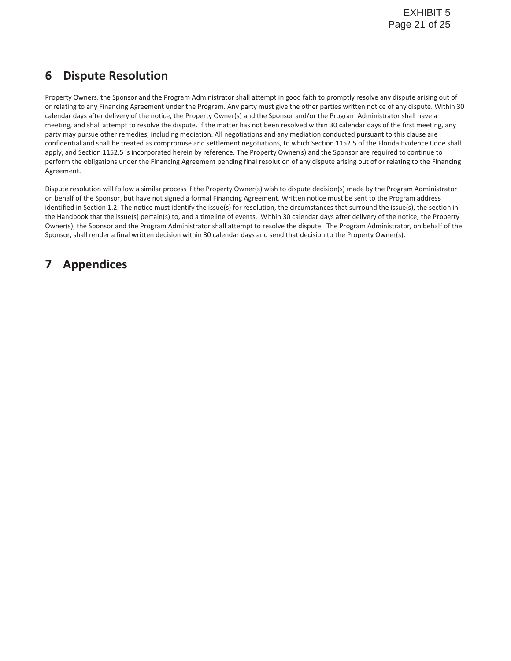## **6 Dispute Resolution**

Property Owners, the Sponsor and the Program Administrator shall attempt in good faith to promptly resolve any dispute arising out of or relating to any Financing Agreement under the Program. Any party must give the other parties written notice of any dispute. Within 30 calendar days after delivery of the notice, the Property Owner(s) and the Sponsor and/or the Program Administrator shall have a meeting, and shall attempt to resolve the dispute. If the matter has not been resolved within 30 calendar days of the first meeting, any party may pursue other remedies, including mediation. All negotiations and any mediation conducted pursuant to this clause are confidential and shall be treated as compromise and settlement negotiations, to which Section 1152.5 of the Florida Evidence Code shall apply, and Section 1152.5 is incorporated herein by reference. The Property Owner(s) and the Sponsor are required to continue to perform the obligations under the Financing Agreement pending final resolution of any dispute arising out of or relating to the Financing Agreement.

Dispute resolution will follow a similar process if the Property Owner(s) wish to dispute decision(s) made by the Program Administrator on behalf of the Sponsor, but have not signed a formal Financing Agreement. Written notice must be sent to the Program address identified in Section 1.2. The notice must identify the issue(s) for resolution, the circumstances that surround the issue(s), the section in the Handbook that the issue(s) pertain(s) to, and a timeline of events. Within 30 calendar days after delivery of the notice, the Property Owner(s), the Sponsor and the Program Administrator shall attempt to resolve the dispute. The Program Administrator, on behalf of the Sponsor, shall render a final written decision within 30 calendar days and send that decision to the Property Owner(s).

## **7 Appendices**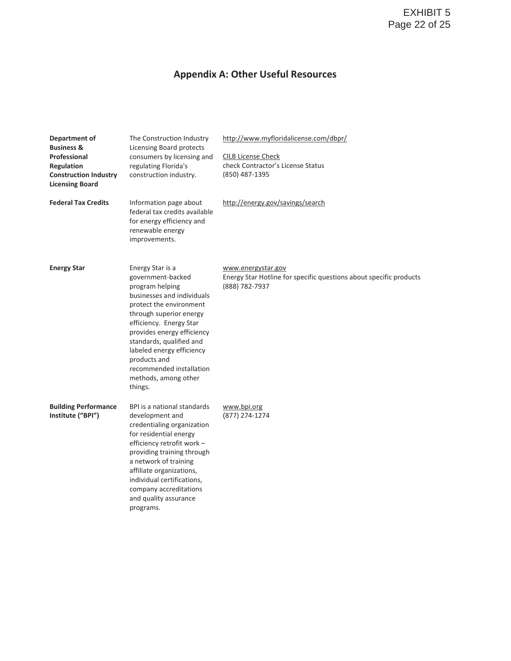## **Appendix A: Other Useful Resources**

| Department of<br><b>Business &amp;</b><br>Professional<br>Regulation<br><b>Construction Industry</b><br><b>Licensing Board</b> | The Construction Industry<br>Licensing Board protects<br>consumers by licensing and<br>regulating Florida's<br>construction industry.                                                                                                                                                                                                         | http://www.myfloridalicense.com/dbpr/<br><b>CILB License Check</b><br>check Contractor's License Status<br>(850) 487-1395 |
|--------------------------------------------------------------------------------------------------------------------------------|-----------------------------------------------------------------------------------------------------------------------------------------------------------------------------------------------------------------------------------------------------------------------------------------------------------------------------------------------|---------------------------------------------------------------------------------------------------------------------------|
| <b>Federal Tax Credits</b>                                                                                                     | Information page about<br>federal tax credits available<br>for energy efficiency and<br>renewable energy<br>improvements.                                                                                                                                                                                                                     | http://energy.gov/savings/search                                                                                          |
| <b>Energy Star</b>                                                                                                             | Energy Star is a<br>government-backed<br>program helping<br>businesses and individuals<br>protect the environment<br>through superior energy<br>efficiency. Energy Star<br>provides energy efficiency<br>standards, qualified and<br>labeled energy efficiency<br>products and<br>recommended installation<br>methods, among other<br>things. | www.energystar.gov<br>Energy Star Hotline for specific questions about specific products<br>(888) 782-7937                |
| <b>Building Performance</b><br>Institute ("BPI")                                                                               | BPI is a national standards<br>development and<br>credentialing organization<br>for residential energy<br>efficiency retrofit work -<br>providing training through<br>a network of training<br>affiliate organizations,<br>individual certifications,<br>company accreditations<br>and quality assurance<br>programs.                         | www.bpi.org<br>(877) 274-1274                                                                                             |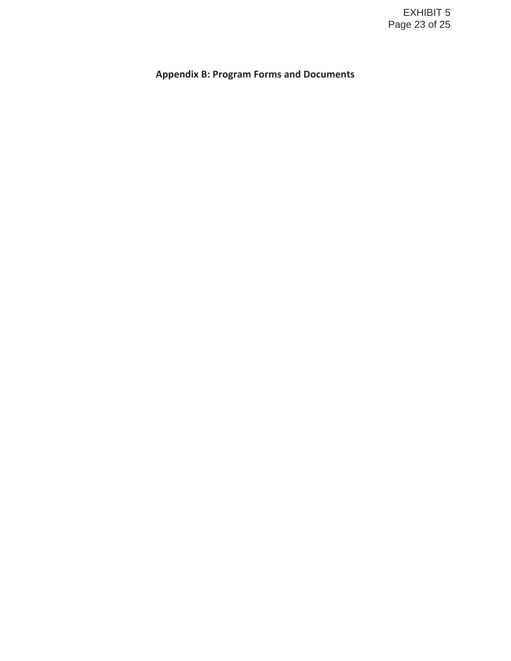## **Appendix B: Program Forms and Documents**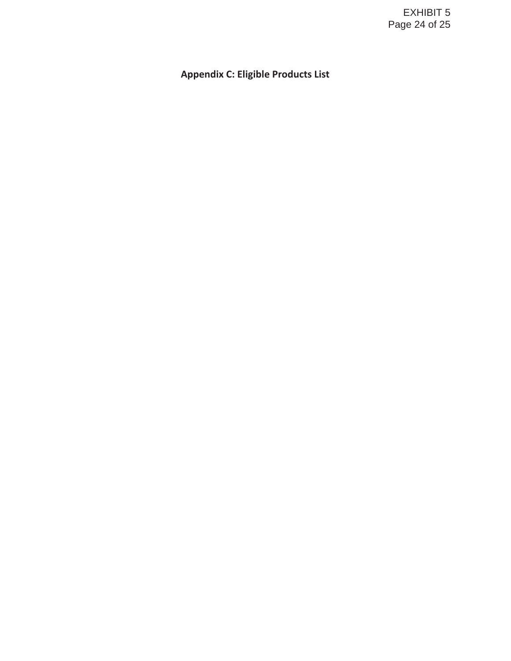## **Appendix C: Eligible Products List**